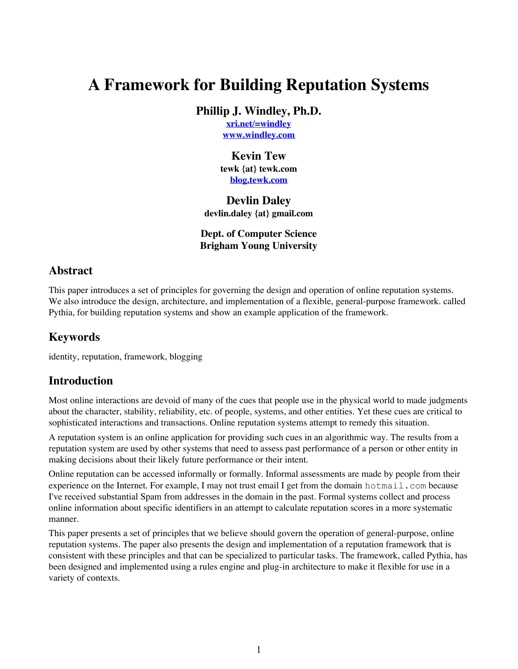# **A Framework for Building Reputation Systems**

**Phillip J. Windley, Ph.D.**

**[xri.net/=windley](http://xri.net/=windley) [www.windley.com](http://www.windley.com)**

### **Kevin Tew**

**tewk {at} tewk.com [blog.tewk.com](http://blog.tewk.com)**

#### **Devlin Daley**

**devlin.daley {at} gmail.com**

#### **Dept. of Computer Science Brigham Young University**

#### **Abstract**

This paper introduces a set of principles for governing the design and operation of online reputation systems. We also introduce the design, architecture, and implementation of a flexible, general-purpose framework. called Pythia, for building reputation systems and show an example application of the framework.

#### **Keywords**

identity, reputation, framework, blogging

### **Introduction**

Most online interactions are devoid of many of the cues that people use in the physical world to made judgments about the character, stability, reliability, etc. of people, systems, and other entities. Yet these cues are critical to sophisticated interactions and transactions. Online reputation systems attempt to remedy this situation.

A reputation system is an online application for providing such cues in an algorithmic way. The results from a reputation system are used by other systems that need to assess past performance of a person or other entity in making decisions about their likely future performance or their intent.

Online reputation can be accessed informally or formally. Informal assessments are made by people from their experience on the Internet. For example, I may not trust email I get from the domain hotmail.com because I've received substantial Spam from addresses in the domain in the past. Formal systems collect and process online information about specific identifiers in an attempt to calculate reputation scores in a more systematic manner.

This paper presents a set of principles that we believe should govern the operation of general-purpose, online reputation systems. The paper also presents the design and implementation of a reputation framework that is consistent with these principles and that can be specialized to particular tasks. The framework, called Pythia, has been designed and implemented using a rules engine and plug-in architecture to make it flexible for use in a variety of contexts.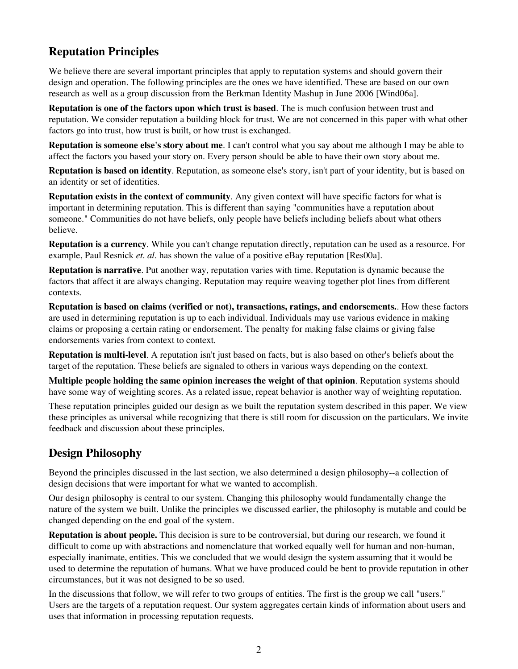# **Reputation Principles**

We believe there are several important principles that apply to reputation systems and should govern their design and operation. The following principles are the ones we have identified. These are based on our own research as well as a group discussion from the Berkman Identity Mashup in June 2006 [Wind06a].

**Reputation is one of the factors upon which trust is based**. The is much confusion between trust and reputation. We consider reputation a building block for trust. We are not concerned in this paper with what other factors go into trust, how trust is built, or how trust is exchanged.

**Reputation is someone else's story about me**. I can't control what you say about me although I may be able to affect the factors you based your story on. Every person should be able to have their own story about me.

**Reputation is based on identity**. Reputation, as someone else's story, isn't part of your identity, but is based on an identity or set of identities.

**Reputation exists in the context of community**. Any given context will have specific factors for what is important in determining reputation. This is different than saying "communities have a reputation about someone." Communities do not have beliefs, only people have beliefs including beliefs about what others believe.

**Reputation is a currency**. While you can't change reputation directly, reputation can be used as a resource. For example, Paul Resnick *et. al.* has shown the value of a positive eBay reputation [Res00a].

**Reputation is narrative**. Put another way, reputation varies with time. Reputation is dynamic because the factors that affect it are always changing. Reputation may require weaving together plot lines from different contexts.

**Reputation is based on claims (verified or not), transactions, ratings, and endorsements.**. How these factors are used in determining reputation is up to each individual. Individuals may use various evidence in making claims or proposing a certain rating or endorsement. The penalty for making false claims or giving false endorsements varies from context to context.

**Reputation is multi-level**. A reputation isn't just based on facts, but is also based on other's beliefs about the target of the reputation. These beliefs are signaled to others in various ways depending on the context.

**Multiple people holding the same opinion increases the weight of that opinion**. Reputation systems should have some way of weighting scores. As a related issue, repeat behavior is another way of weighting reputation.

These reputation principles guided our design as we built the reputation system described in this paper. We view these principles as universal while recognizing that there is still room for discussion on the particulars. We invite feedback and discussion about these principles.

# **Design Philosophy**

Beyond the principles discussed in the last section, we also determined a design philosophy--a collection of design decisions that were important for what we wanted to accomplish.

Our design philosophy is central to our system. Changing this philosophy would fundamentally change the nature of the system we built. Unlike the principles we discussed earlier, the philosophy is mutable and could be changed depending on the end goal of the system.

**Reputation is about people.** This decision is sure to be controversial, but during our research, we found it difficult to come up with abstractions and nomenclature that worked equally well for human and non-human, especially inanimate, entities. This we concluded that we would design the system assuming that it would be used to determine the reputation of humans. What we have produced could be bent to provide reputation in other circumstances, but it was not designed to be so used.

In the discussions that follow, we will refer to two groups of entities. The first is the group we call "users." Users are the targets of a reputation request. Our system aggregates certain kinds of information about users and uses that information in processing reputation requests.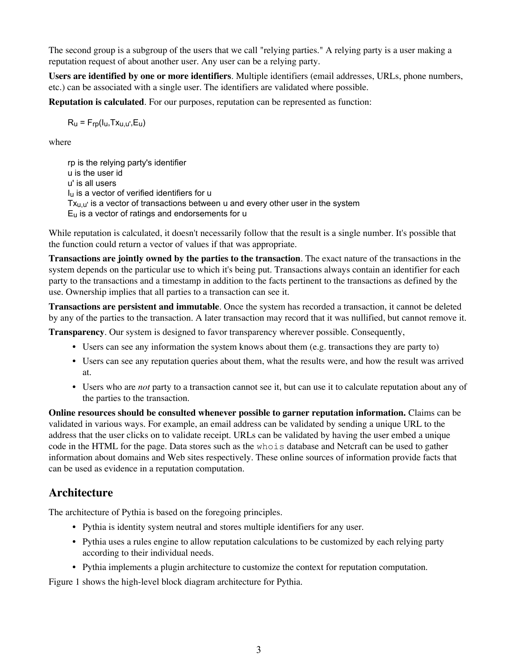The second group is a subgroup of the users that we call "relying parties." A relying party is a user making a reputation request of about another user. Any user can be a relying party.

**Users are identified by one or more identifiers**. Multiple identifiers (email addresses, URLs, phone numbers, etc.) can be associated with a single user. The identifiers are validated where possible.

**Reputation is calculated**. For our purposes, reputation can be represented as function:

 $R_{\text{u}} = F_{\text{r}D} (I_{\text{u}}, T_{\text{X}_{\text{u},\text{u}}}, E_{\text{u}})$ 

where

rp is the relying party's identifier u is the user id u' is all users Iu is a vector of verified identifiers for u  $Tx_{u,u'}$  is a vector of transactions between u and every other user in the system  $E<sub>u</sub>$  is a vector of ratings and endorsements for  $u$ 

While reputation is calculated, it doesn't necessarily follow that the result is a single number. It's possible that the function could return a vector of values if that was appropriate.

**Transactions are jointly owned by the parties to the transaction**. The exact nature of the transactions in the system depends on the particular use to which it's being put. Transactions always contain an identifier for each party to the transactions and a timestamp in addition to the facts pertinent to the transactions as defined by the use. Ownership implies that all parties to a transaction can see it.

**Transactions are persistent and immutable**. Once the system has recorded a transaction, it cannot be deleted by any of the parties to the transaction. A later transaction may record that it was nullified, but cannot remove it.

**Transparency**. Our system is designed to favor transparency wherever possible. Consequently,

- Users can see any information the system knows about them (e.g. transactions they are party to)
- Users can see any reputation queries about them, what the results were, and how the result was arrived at.
- Users who are *not* party to a transaction cannot see it, but can use it to calculate reputation about any of the parties to the transaction.

**Online resources should be consulted whenever possible to garner reputation information.** Claims can be validated in various ways. For example, an email address can be validated by sending a unique URL to the address that the user clicks on to validate receipt. URLs can be validated by having the user embed a unique code in the HTML for the page. Data stores such as the whois database and Netcraft can be used to gather information about domains and Web sites respectively. These online sources of information provide facts that can be used as evidence in a reputation computation.

# **Architecture**

The architecture of Pythia is based on the foregoing principles.

- Pythia is identity system neutral and stores multiple identifiers for any user.
- Pythia uses a rules engine to allow reputation calculations to be customized by each relying party according to their individual needs.
- Pythia implements a plugin architecture to customize the context for reputation computation.

Figure 1 shows the high-level block diagram architecture for Pythia.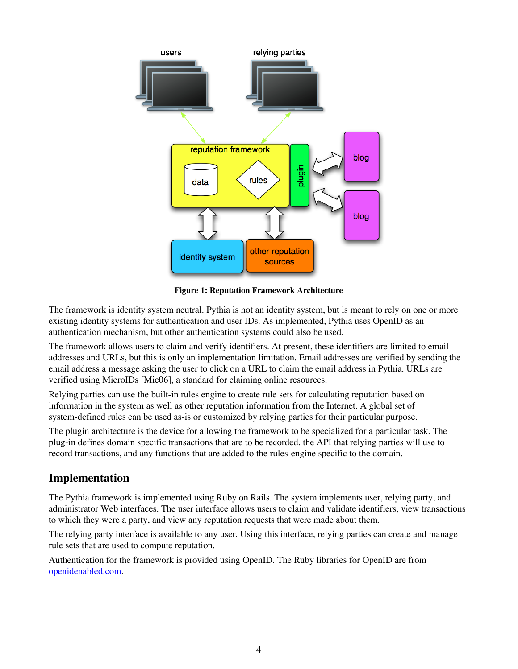

**Figure 1: Reputation Framework Architecture**

The framework is identity system neutral. Pythia is not an identity system, but is meant to rely on one or more existing identity systems for authentication and user IDs. As implemented, Pythia uses OpenID as an authentication mechanism, but other authentication systems could also be used.

The framework allows users to claim and verify identifiers. At present, these identifiers are limited to email addresses and URLs, but this is only an implementation limitation. Email addresses are verified by sending the email address a message asking the user to click on a URL to claim the email address in Pythia. URLs are verified using MicroIDs [Mic06], a standard for claiming online resources.

Relying parties can use the built-in rules engine to create rule sets for calculating reputation based on information in the system as well as other reputation information from the Internet. A global set of system-defined rules can be used as-is or customized by relying parties for their particular purpose.

The plugin architecture is the device for allowing the framework to be specialized for a particular task. The plug-in defines domain specific transactions that are to be recorded, the API that relying parties will use to record transactions, and any functions that are added to the rules-engine specific to the domain.

# **Implementation**

The Pythia framework is implemented using Ruby on Rails. The system implements user, relying party, and administrator Web interfaces. The user interface allows users to claim and validate identifiers, view transactions to which they were a party, and view any reputation requests that were made about them.

The relying party interface is available to any user. Using this interface, relying parties can create and manage rule sets that are used to compute reputation.

Authentication for the framework is provided using OpenID. The Ruby libraries for OpenID are from [openidenabled.com](http://openidenabled.com).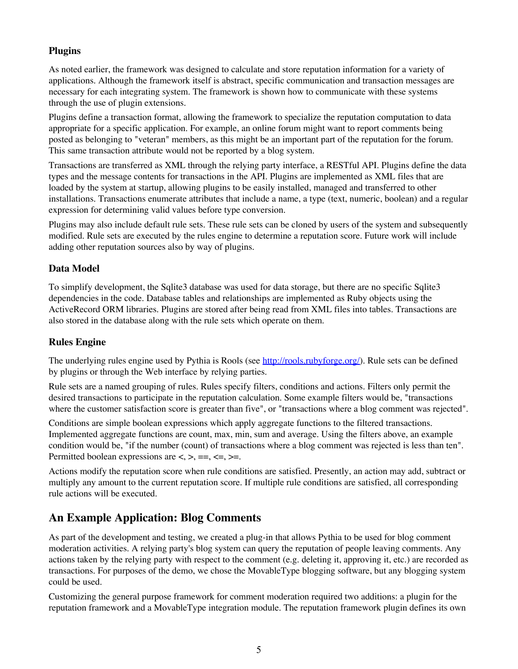### **Plugins**

As noted earlier, the framework was designed to calculate and store reputation information for a variety of applications. Although the framework itself is abstract, specific communication and transaction messages are necessary for each integrating system. The framework is shown how to communicate with these systems through the use of plugin extensions.

Plugins define a transaction format, allowing the framework to specialize the reputation computation to data appropriate for a specific application. For example, an online forum might want to report comments being posted as belonging to "veteran" members, as this might be an important part of the reputation for the forum. This same transaction attribute would not be reported by a blog system.

Transactions are transferred as XML through the relying party interface, a RESTful API. Plugins define the data types and the message contents for transactions in the API. Plugins are implemented as XML files that are loaded by the system at startup, allowing plugins to be easily installed, managed and transferred to other installations. Transactions enumerate attributes that include a name, a type (text, numeric, boolean) and a regular expression for determining valid values before type conversion.

Plugins may also include default rule sets. These rule sets can be cloned by users of the system and subsequently modified. Rule sets are executed by the rules engine to determine a reputation score. Future work will include adding other reputation sources also by way of plugins.

#### **Data Model**

To simplify development, the Sqlite3 database was used for data storage, but there are no specific Sqlite3 dependencies in the code. Database tables and relationships are implemented as Ruby objects using the ActiveRecord ORM libraries. Plugins are stored after being read from XML files into tables. Transactions are also stored in the database along with the rule sets which operate on them.

#### **Rules Engine**

The underlying rules engine used by Pythia is Rools (see <http://rools.rubyforge.org/>). Rule sets can be defined by plugins or through the Web interface by relying parties.

Rule sets are a named grouping of rules. Rules specify filters, conditions and actions. Filters only permit the desired transactions to participate in the reputation calculation. Some example filters would be, "transactions where the customer satisfaction score is greater than five", or "transactions where a blog comment was rejected".

Conditions are simple boolean expressions which apply aggregate functions to the filtered transactions. Implemented aggregate functions are count, max, min, sum and average. Using the filters above, an example condition would be, "if the number (count) of transactions where a blog comment was rejected is less than ten". Permitted boolean expressions are  $\lt, \gt, \gt; =, \lt=, \gt=$ .

Actions modify the reputation score when rule conditions are satisfied. Presently, an action may add, subtract or multiply any amount to the current reputation score. If multiple rule conditions are satisfied, all corresponding rule actions will be executed.

# **An Example Application: Blog Comments**

As part of the development and testing, we created a plug-in that allows Pythia to be used for blog comment moderation activities. A relying party's blog system can query the reputation of people leaving comments. Any actions taken by the relying party with respect to the comment (e.g. deleting it, approving it, etc.) are recorded as transactions. For purposes of the demo, we chose the MovableType blogging software, but any blogging system could be used.

Customizing the general purpose framework for comment moderation required two additions: a plugin for the reputation framework and a MovableType integration module. The reputation framework plugin defines its own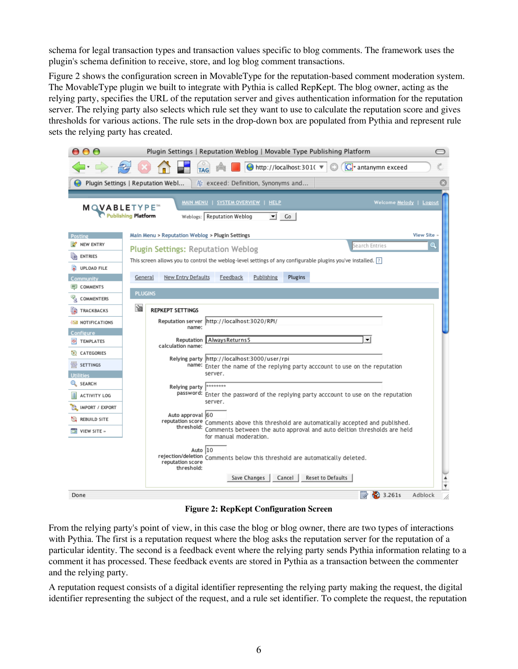schema for legal transaction types and transaction values specific to blog comments. The framework uses the plugin's schema definition to receive, store, and log blog comment transactions.

Figure 2 shows the configuration screen in MovableType for the reputation-based comment moderation system. The MovableType plugin we built to integrate with Pythia is called RepKept. The blog owner, acting as the relying party, specifies the URL of the reputation server and gives authentication information for the reputation server. The relying party also selects which rule set they want to use to calculate the reputation score and gives thresholds for various actions. The rule sets in the drop-down box are populated from Pythia and represent rule sets the relying party has created.

| 000                                                                                                                                                                                   | Plugin Settings   Reputation Weblog   Movable Type Publishing Platform<br>0                                                                                                       |  |  |  |
|---------------------------------------------------------------------------------------------------------------------------------------------------------------------------------------|-----------------------------------------------------------------------------------------------------------------------------------------------------------------------------------|--|--|--|
| $\rightarrow$ $\rightarrow$ $\rightarrow$                                                                                                                                             | 头<br>G <sup>v</sup> antanymn exceed<br>$\bigcirc$ http://localhost:301( $\neg$<br>TAG                                                                                             |  |  |  |
|                                                                                                                                                                                       | A: exceed: Definition, Synonyms and<br>Plugin Settings   Reputation Webl                                                                                                          |  |  |  |
| <b>MAIN MENU   SYSTEM OVERVIEW   HELP</b><br>Welcome Melody   Logout<br><b>MQVABLETYPE</b><br><b>Publishing Platform</b><br>Weblogs: Reputation Weblog<br>$\overline{\phantom{a}}$ Co |                                                                                                                                                                                   |  |  |  |
| Posting                                                                                                                                                                               | Main Menu > Reputation Weblog > Plugin Settings<br><b>View Site</b>                                                                                                               |  |  |  |
| <b>NEW ENTRY</b>                                                                                                                                                                      | search Entries<br>Q<br><b>Plugin Settings: Reputation Weblog</b>                                                                                                                  |  |  |  |
| G<br><b>ENTRIES</b>                                                                                                                                                                   | This screen allows you to control the weblog-level settings of any configurable plugins you've installed. [?]                                                                     |  |  |  |
| <b>UPLOAD FILE</b>                                                                                                                                                                    |                                                                                                                                                                                   |  |  |  |
| Community                                                                                                                                                                             | New Entry Defaults<br>Publishing<br>Plugins<br>General<br>Feedback                                                                                                                |  |  |  |
| <b>ID COMMENTS</b>                                                                                                                                                                    | <b>PLUGINS</b>                                                                                                                                                                    |  |  |  |
| <b>COMMENTERS</b>                                                                                                                                                                     |                                                                                                                                                                                   |  |  |  |
| F)<br>TRACKBACKS                                                                                                                                                                      | Ŵ<br><b>REPKEPT SETTINGS</b>                                                                                                                                                      |  |  |  |
| <b>IM NOTIFICATIONS</b>                                                                                                                                                               | Reputation server http://localhost:3020/RPI/<br>name:                                                                                                                             |  |  |  |
| Configure                                                                                                                                                                             | ┯║<br>Always Returns 5<br>Reputation                                                                                                                                              |  |  |  |
| <b>TEMPLATES</b>                                                                                                                                                                      | calculation name:                                                                                                                                                                 |  |  |  |
| CATEGORIES<br>ťΒ,                                                                                                                                                                     | Relying party http://localhost:3000/user/rpi                                                                                                                                      |  |  |  |
| 带 SETTINGS                                                                                                                                                                            | name: Enter the name of the replying party acccount to use on the reputation<br>server.                                                                                           |  |  |  |
| <b>Utilities</b><br>SEARCH                                                                                                                                                            |                                                                                                                                                                                   |  |  |  |
| Ħ<br><b>ACTIVITY LOG</b>                                                                                                                                                              | ********<br>Relying party<br>password: Enter the password of the replying party acccount to use on the reputation                                                                 |  |  |  |
| IMPORT / EXPORT                                                                                                                                                                       | server.                                                                                                                                                                           |  |  |  |
| <b>REBUILD SITE</b>                                                                                                                                                                   | Auto approval 60                                                                                                                                                                  |  |  |  |
|                                                                                                                                                                                       | reputation score Comments above this threshold are automatically accepted and published.<br>threshold:<br>Comments between the auto approval and auto deltion thresholds are held |  |  |  |
| $\Box$ VIEW SITE »                                                                                                                                                                    | for manual moderation.                                                                                                                                                            |  |  |  |
|                                                                                                                                                                                       | Auto 10<br>rejection/deletion Comments below this threshold are automatically deleted.<br>reputation score<br>threshold:                                                          |  |  |  |
|                                                                                                                                                                                       | Save Changes<br>Cancel<br>Reset to Defaults<br>$\blacktriangle$<br>¥                                                                                                              |  |  |  |
| Done                                                                                                                                                                                  | 3.261s<br>Adblock<br>$\overline{\mathscr{L}}$                                                                                                                                     |  |  |  |

**Figure 2: RepKept Configuration Screen**

From the relying party's point of view, in this case the blog or blog owner, there are two types of interactions with Pythia. The first is a reputation request where the blog asks the reputation server for the reputation of a particular identity. The second is a feedback event where the relying party sends Pythia information relating to a comment it has processed. These feedback events are stored in Pythia as a transaction between the commenter and the relying party.

A reputation request consists of a digital identifier representing the relying party making the request, the digital identifier representing the subject of the request, and a rule set identifier. To complete the request, the reputation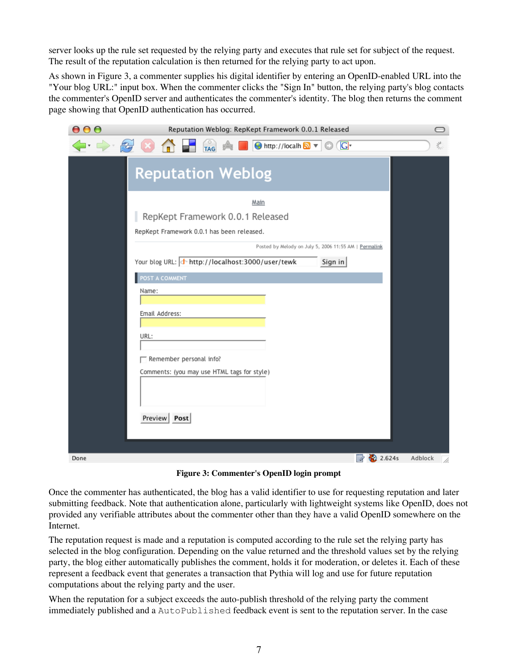server looks up the rule set requested by the relying party and executes that rule set for subject of the request. The result of the reputation calculation is then returned for the relying party to act upon.

As shown in Figure 3, a commenter supplies his digital identifier by entering an OpenID-enabled URL into the "Your blog URL:" input box. When the commenter clicks the "Sign In" button, the relying party's blog contacts the commenter's OpenID server and authenticates the commenter's identity. The blog then returns the comment page showing that OpenID authentication has occurred.

| 000                   | Reputation Weblog: RepKept Framework 0.0.1 Released                    |             | $\bigcirc$   |
|-----------------------|------------------------------------------------------------------------|-------------|--------------|
| $\Longleftrightarrow$ | TAG A<br><b>C</b> http://localh a v<br>$\overline{G}$                  |             | 头            |
|                       | <b>Reputation Weblog</b>                                               |             |              |
|                       | Main                                                                   |             |              |
|                       | RepKept Framework 0.0.1 Released                                       |             |              |
|                       | RepKept Framework 0.0.1 has been released.                             |             |              |
|                       | Posted by Melody on July 5, 2006 11:55 AM   Permalink                  |             |              |
|                       | Your blog URL: + http://localhost:3000/user/tewk<br>Sign in            |             |              |
|                       | POST A COMMENT                                                         |             |              |
|                       | Name:                                                                  |             |              |
|                       | Email Address:                                                         |             |              |
|                       |                                                                        |             |              |
|                       | URL:                                                                   |             |              |
|                       |                                                                        |             |              |
|                       | Remember personal info?<br>Comments: (you may use HTML tags for style) |             |              |
|                       |                                                                        |             |              |
|                       |                                                                        |             |              |
|                       | Preview Post                                                           |             |              |
|                       |                                                                        |             |              |
|                       |                                                                        |             |              |
| Done                  |                                                                        | 2.624s<br>Z | Adblock<br>í |

**Figure 3: Commenter's OpenID login prompt**

Once the commenter has authenticated, the blog has a valid identifier to use for requesting reputation and later submitting feedback. Note that authentication alone, particularly with lightweight systems like OpenID, does not provided any verifiable attributes about the commenter other than they have a valid OpenID somewhere on the Internet.

The reputation request is made and a reputation is computed according to the rule set the relying party has selected in the blog configuration. Depending on the value returned and the threshold values set by the relying party, the blog either automatically publishes the comment, holds it for moderation, or deletes it. Each of these represent a feedback event that generates a transaction that Pythia will log and use for future reputation computations about the relying party and the user.

When the reputation for a subject exceeds the auto-publish threshold of the relying party the comment immediately published and a AutoPublished feedback event is sent to the reputation server. In the case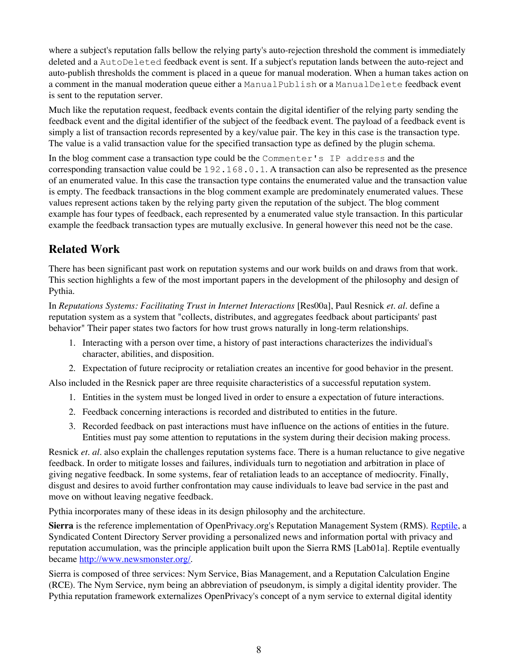where a subject's reputation falls bellow the relying party's auto-rejection threshold the comment is immediately deleted and a AutoDeleted feedback event is sent. If a subject's reputation lands between the auto-reject and auto-publish thresholds the comment is placed in a queue for manual moderation. When a human takes action on a comment in the manual moderation queue either a ManualPublish or a ManualDelete feedback event is sent to the reputation server.

Much like the reputation request, feedback events contain the digital identifier of the relying party sending the feedback event and the digital identifier of the subject of the feedback event. The payload of a feedback event is simply a list of transaction records represented by a key/value pair. The key in this case is the transaction type. The value is a valid transaction value for the specified transaction type as defined by the plugin schema.

In the blog comment case a transaction type could be the Commenter's IP address and the corresponding transaction value could be 192.168.0.1. A transaction can also be represented as the presence of an enumerated value. In this case the transaction type contains the enumerated value and the transaction value is empty. The feedback transactions in the blog comment example are predominately enumerated values. These values represent actions taken by the relying party given the reputation of the subject. The blog comment example has four types of feedback, each represented by a enumerated value style transaction. In this particular example the feedback transaction types are mutually exclusive. In general however this need not be the case.

# **Related Work**

There has been significant past work on reputation systems and our work builds on and draws from that work. This section highlights a few of the most important papers in the development of the philosophy and design of Pythia.

In *Reputations Systems: Facilitating Trust in Internet Interactions* [Res00a], Paul Resnick *et. al.* define a reputation system as a system that "collects, distributes, and aggregates feedback about participants' past behavior" Their paper states two factors for how trust grows naturally in long-term relationships.

- 1. Interacting with a person over time, a history of past interactions characterizes the individual's character, abilities, and disposition.
- 2. Expectation of future reciprocity or retaliation creates an incentive for good behavior in the present.

Also included in the Resnick paper are three requisite characteristics of a successful reputation system.

- 1. Entities in the system must be longed lived in order to ensure a expectation of future interactions.
- 2. Feedback concerning interactions is recorded and distributed to entities in the future.
- 3. Recorded feedback on past interactions must have influence on the actions of entities in the future. Entities must pay some attention to reputations in the system during their decision making process.

Resnick *et. al.* also explain the challenges reputation systems face. There is a human reluctance to give negative feedback. In order to mitigate losses and failures, individuals turn to negotiation and arbitration in place of giving negative feedback. In some systems, fear of retaliation leads to an acceptance of mediocrity. Finally, disgust and desires to avoid further confrontation may cause individuals to leave bad service in the past and move on without leaving negative feedback.

Pythia incorporates many of these ideas in its design philosophy and the architecture.

**Sierra** is the reference implementation of OpenPrivacy.org's Reputation Management System (RMS). [Reptile](http://reptile.openprivacy.org/), a Syndicated Content Directory Server providing a personalized news and information portal with privacy and reputation accumulation, was the principle application built upon the Sierra RMS [Lab01a]. Reptile eventually became <http://www.newsmonster.org/>.

Sierra is composed of three services: Nym Service, Bias Management, and a Reputation Calculation Engine (RCE). The Nym Service, nym being an abbreviation of pseudonym, is simply a digital identity provider. The Pythia reputation framework externalizes OpenPrivacy's concept of a nym service to external digital identity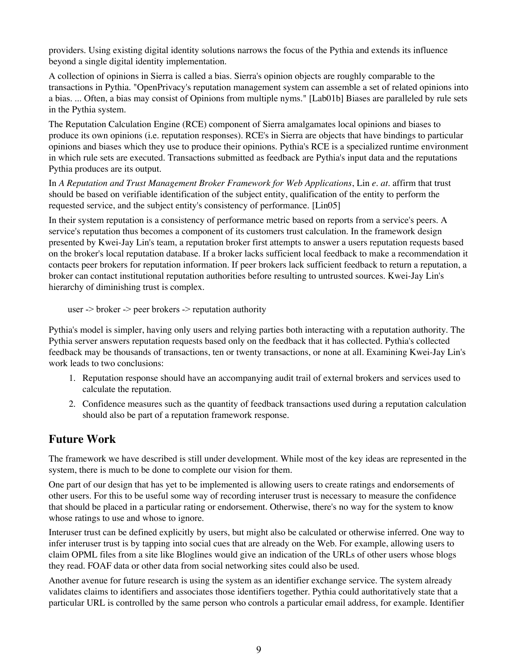providers. Using existing digital identity solutions narrows the focus of the Pythia and extends its influence beyond a single digital identity implementation.

A collection of opinions in Sierra is called a bias. Sierra's opinion objects are roughly comparable to the transactions in Pythia. "OpenPrivacy's reputation management system can assemble a set of related opinions into a bias. ... Often, a bias may consist of Opinions from multiple nyms." [Lab01b] Biases are paralleled by rule sets in the Pythia system.

The Reputation Calculation Engine (RCE) component of Sierra amalgamates local opinions and biases to produce its own opinions (i.e. reputation responses). RCE's in Sierra are objects that have bindings to particular opinions and biases which they use to produce their opinions. Pythia's RCE is a specialized runtime environment in which rule sets are executed. Transactions submitted as feedback are Pythia's input data and the reputations Pythia produces are its output.

In *A Reputation and Trust Management Broker Framework for Web Applications*, Lin *e. at.* affirm that trust should be based on verifiable identification of the subject entity, qualification of the entity to perform the requested service, and the subject entity's consistency of performance. [Lin05]

In their system reputation is a consistency of performance metric based on reports from a service's peers. A service's reputation thus becomes a component of its customers trust calculation. In the framework design presented by Kwei-Jay Lin's team, a reputation broker first attempts to answer a users reputation requests based on the broker's local reputation database. If a broker lacks sufficient local feedback to make a recommendation it contacts peer brokers for reputation information. If peer brokers lack sufficient feedback to return a reputation, a broker can contact institutional reputation authorities before resulting to untrusted sources. Kwei-Jay Lin's hierarchy of diminishing trust is complex.

user -> broker -> peer brokers -> reputation authority

Pythia's model is simpler, having only users and relying parties both interacting with a reputation authority. The Pythia server answers reputation requests based only on the feedback that it has collected. Pythia's collected feedback may be thousands of transactions, ten or twenty transactions, or none at all. Examining Kwei-Jay Lin's work leads to two conclusions:

- 1. Reputation response should have an accompanying audit trail of external brokers and services used to calculate the reputation.
- 2. Confidence measures such as the quantity of feedback transactions used during a reputation calculation should also be part of a reputation framework response.

### **Future Work**

The framework we have described is still under development. While most of the key ideas are represented in the system, there is much to be done to complete our vision for them.

One part of our design that has yet to be implemented is allowing users to create ratings and endorsements of other users. For this to be useful some way of recording interuser trust is necessary to measure the confidence that should be placed in a particular rating or endorsement. Otherwise, there's no way for the system to know whose ratings to use and whose to ignore.

Interuser trust can be defined explicitly by users, but might also be calculated or otherwise inferred. One way to infer interuser trust is by tapping into social cues that are already on the Web. For example, allowing users to claim OPML files from a site like Bloglines would give an indication of the URLs of other users whose blogs they read. FOAF data or other data from social networking sites could also be used.

Another avenue for future research is using the system as an identifier exchange service. The system already validates claims to identifiers and associates those identifiers together. Pythia could authoritatively state that a particular URL is controlled by the same person who controls a particular email address, for example. Identifier